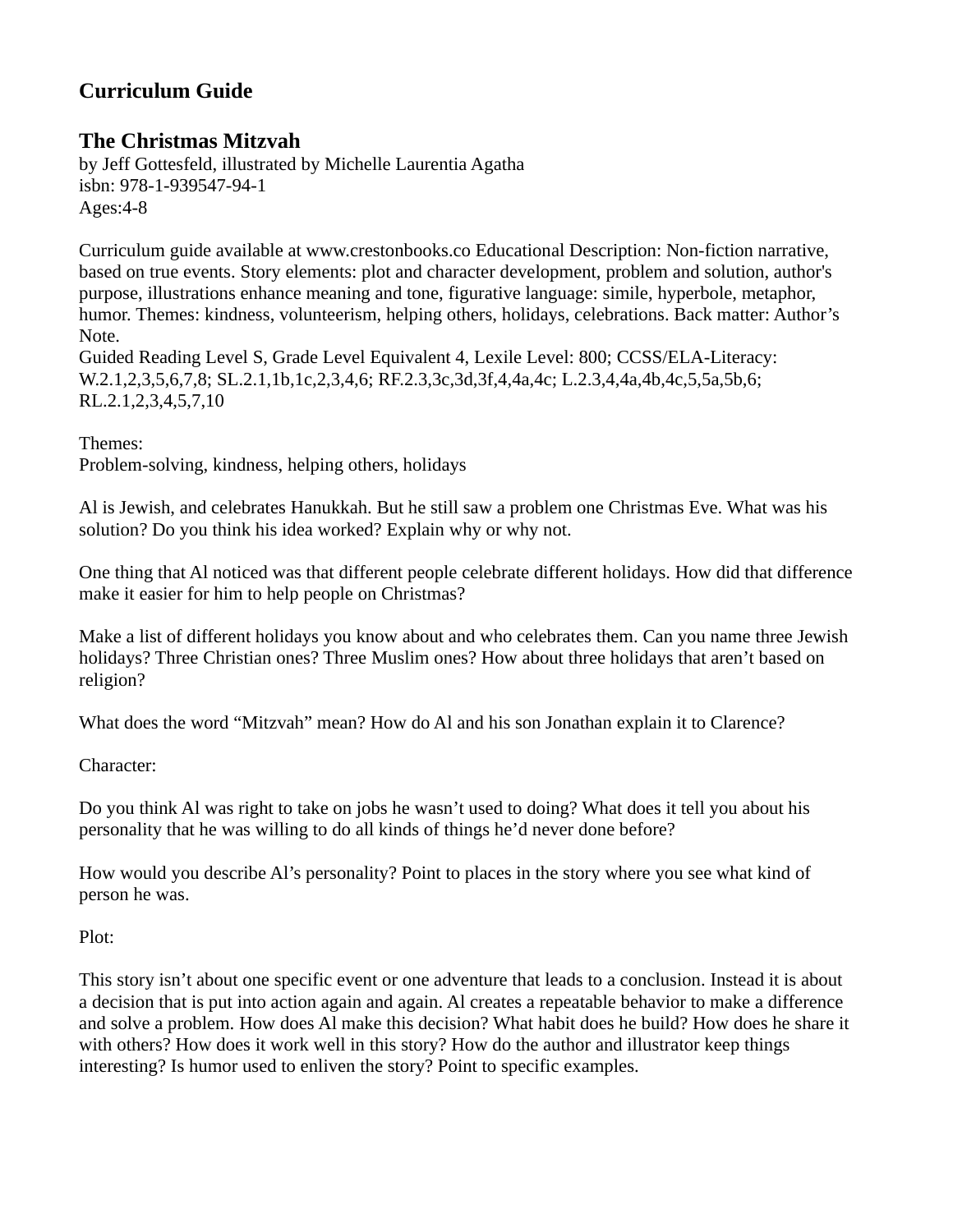## **Curriculum Guide**

## **The Christmas Mitzvah**

by Jeff Gottesfeld, illustrated by Michelle Laurentia Agatha isbn: 978-1-939547-94-1 Ages:4-8

Curriculum guide available at www.crestonbooks.co Educational Description: Non-fiction narrative, based on true events. Story elements: plot and character development, problem and solution, author's purpose, illustrations enhance meaning and tone, figurative language: simile, hyperbole, metaphor, humor. Themes: kindness, volunteerism, helping others, holidays, celebrations. Back matter: Author's Note.

Guided Reading Level S, Grade Level Equivalent 4, Lexile Level: 800; CCSS/ELA-Literacy: W.2.1,2,3,5,6,7,8; SL.2.1,1b,1c,2,3,4,6; RF.2.3,3c,3d,3f,4,4a,4c; L.2.3,4,4a,4b,4c,5,5a,5b,6; RL.2.1,2,3,4,5,7,10

Themes:

Problem-solving, kindness, helping others, holidays

Al is Jewish, and celebrates Hanukkah. But he still saw a problem one Christmas Eve. What was his solution? Do you think his idea worked? Explain why or why not.

One thing that Al noticed was that different people celebrate different holidays. How did that difference make it easier for him to help people on Christmas?

Make a list of different holidays you know about and who celebrates them. Can you name three Jewish holidays? Three Christian ones? Three Muslim ones? How about three holidays that aren't based on religion?

What does the word "Mitzvah" mean? How do Al and his son Jonathan explain it to Clarence?

Character:

Do you think Al was right to take on jobs he wasn't used to doing? What does it tell you about his personality that he was willing to do all kinds of things he'd never done before?

How would you describe Al's personality? Point to places in the story where you see what kind of person he was.

Plot:

This story isn't about one specific event or one adventure that leads to a conclusion. Instead it is about a decision that is put into action again and again. Al creates a repeatable behavior to make a difference and solve a problem. How does Al make this decision? What habit does he build? How does he share it with others? How does it work well in this story? How do the author and illustrator keep things interesting? Is humor used to enliven the story? Point to specific examples.